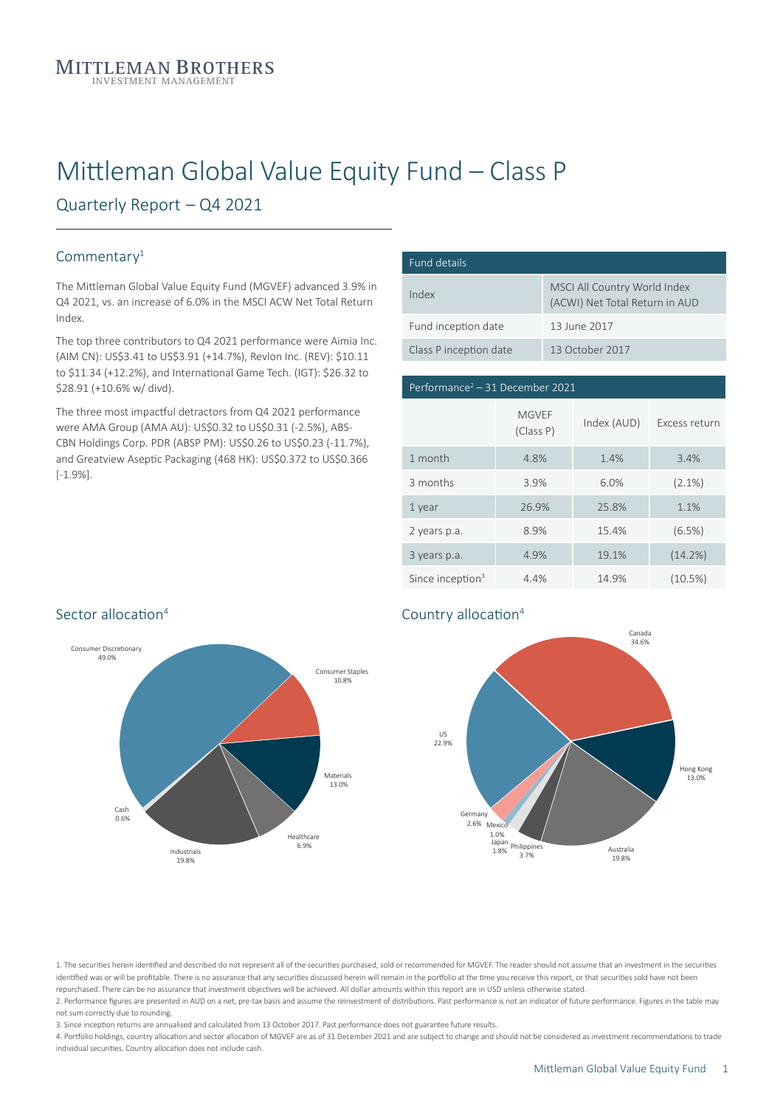# Mittleman Global Value Equity Fund – Class P

Quarterly Report – Q4 2021

#### Commentary<sup>1</sup>

The Mittleman Global Value Equity Fund (MGVEF) advanced 3.9% in Q4 2021, vs. an increase of 6.0% in the MSCI ACW Net Total Return Index.

The top three contributors to Q4 2021 performance were Aimia Inc. (AIM CN): US\$3.41 to US\$3.91 (+14.7%), Revlon Inc. (REV): \$10.11 to \$11.34 (+12.2%), and International Game Tech. (IGT): \$26.32 to \$28.91 (+10.6% w/ divd).

The three most impactful detractors from Q4 2021 performance were AMA Group (AMA AU): US\$0.32 to US\$0.31 (-2.5%), ABS-CBN Holdings Corp. PDR (ABSP PM): US\$0.26 to US\$0.23 (-11.7%), and Greatview Aseptic Packaging (468 HK): US\$0.372 to US\$0.366 [-1.9%].

| Fund details           |                                                                |
|------------------------|----------------------------------------------------------------|
| Index                  | MSCI All Country World Index<br>(ACWI) Net Total Return in AUD |
| Fund inception date    | 13 June 2017                                                   |
| Class P inception date | 13 October 2017                                                |

# Performance<sup>2</sup> – 31 December 2021 US 31.6% 3 months 3.9% 6.0% (2.1%) Since inception<sup>3</sup> 4.4% 14.9% (10.5%) **MGV<sub>FF</sub>** (Class P) Index (AUD) Excess return 1 month 4.8% 1.4% 3.4% 1 year 26.9% 25.8% 1.1% 2 years p.a. 8.9% 15.4% (6.5%) 3 years p.a. 4.9% 19.1% (14.2%)



#### ation Country allocation<sup>4</sup>



1. The securities herein identified and described do not represent all of the securities purchased, sold or recommended for MGVEF. The reader should not assume that an investment in the securities identified was or will be profitable. There is no assurance that any securities discussed herein will remain in the portfolio at the time you receive this report, or that securities sold have not been repurchased. There can be no assurance that investment objectives will be achieved. All dollar amounts within this report are in USD unless otherwise stated.

2. Performance figures are presented in AUD on a net, pre-tax basis and assume the reinvestment of distributions. Past performance is not an indicator of future performance. Figures in the table may not sum correctly due to rounding.

3. Since inception returns are annualised and calculated from 13 October 2017. Past performance does not guarantee future results.

4. Portfolio holdings, country allocation and sector allocation of MGVEF are as of 31 December 2021 and are subject to change and should not be considered as investment recommendations to trade individual securities. Country allocation does not include cash.

## Sector allocation<sup>4</sup>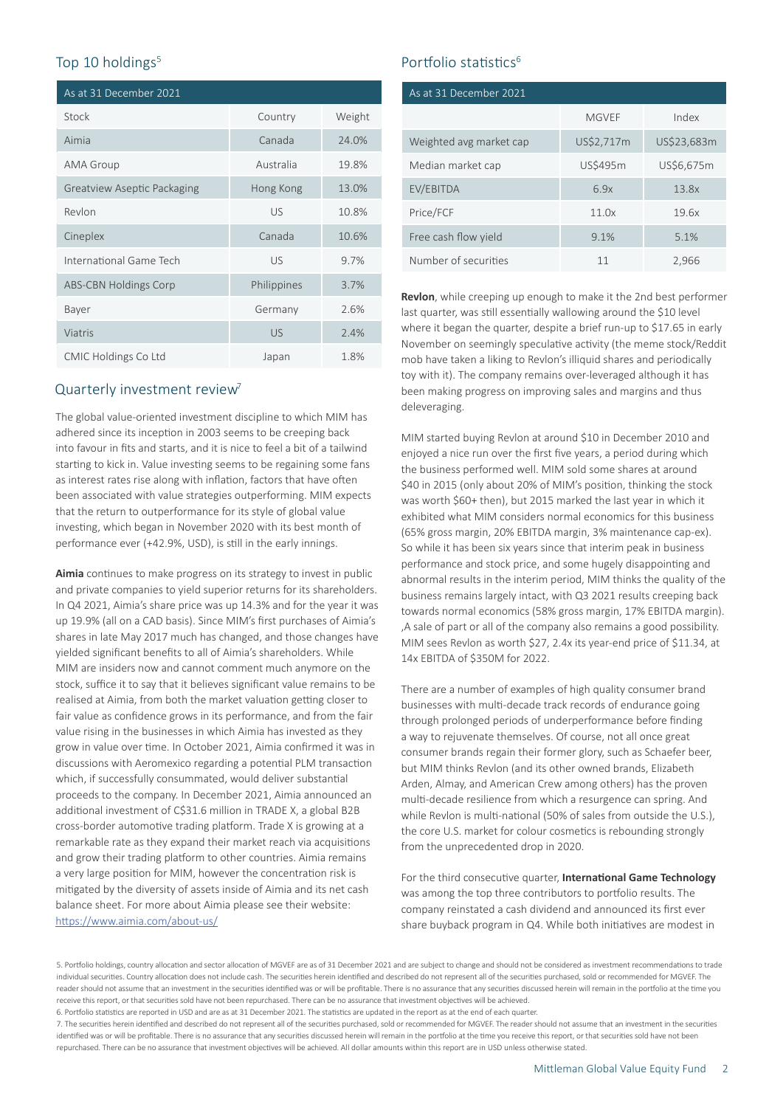| As at 31 December 2021             |             |        |
|------------------------------------|-------------|--------|
| Stock                              | Country     | Weight |
| Aimia                              | Canada      | 24.0%  |
| AMA Group                          | Australia   | 19.8%  |
| <b>Greatview Aseptic Packaging</b> | Hong Kong   | 13.0%  |
| Revlon                             | <b>US</b>   | 10.8%  |
| Cineplex                           | Canada      | 10.6%  |
| International Game Tech            | <b>US</b>   | 9.7%   |
| <b>ABS-CBN Holdings Corp</b>       | Philippines | 3.7%   |
| Bayer                              | Germany     | 2.6%   |
| Viatris                            | <b>US</b>   | 2.4%   |
| CMIC Holdings Co Ltd               | Japan       | 1.8%   |

#### Quarterly investment review<sup>7</sup>

The global value-oriented investment discipline to which MIM has adhered since its inception in 2003 seems to be creeping back into favour in fits and starts, and it is nice to feel a bit of a tailwind starting to kick in. Value investing seems to be regaining some fans as interest rates rise along with inflation, factors that have often been associated with value strategies outperforming. MIM expects that the return to outperformance for its style of global value investing, which began in November 2020 with its best month of performance ever (+42.9%, USD), is still in the early innings.

**Aimia** continues to make progress on its strategy to invest in public and private companies to yield superior returns for its shareholders. In Q4 2021, Aimia's share price was up 14.3% and for the year it was up 19.9% (all on a CAD basis). Since MIM's first purchases of Aimia's shares in late May 2017 much has changed, and those changes have yielded significant benefits to all of Aimia's shareholders. While MIM are insiders now and cannot comment much anymore on the stock, suffice it to say that it believes significant value remains to be realised at Aimia, from both the market valuation getting closer to fair value as confidence grows in its performance, and from the fair value rising in the businesses in which Aimia has invested as they grow in value over time. In October 2021, Aimia confirmed it was in discussions with Aeromexico regarding a potential PLM transaction which, if successfully consummated, would deliver substantial proceeds to the company. In December 2021, Aimia announced an additional investment of C\$31.6 million in TRADE X, a global B2B cross-border automotive trading platform. Trade X is growing at a remarkable rate as they expand their market reach via acquisitions and grow their trading platform to other countries. Aimia remains a very large position for MIM, however the concentration risk is mitigated by the diversity of assets inside of Aimia and its net cash balance sheet. For more about Aimia please see their website: <https://www.aimia.com/about-us/>

## Top 10 holdings<sup>5</sup> Top 10 holdings<sup>5</sup> Top 10 holdings<sup>6</sup>

| As at 31 December 2021  |              |             |  |
|-------------------------|--------------|-------------|--|
|                         | <b>MGVEF</b> | Index       |  |
| Weighted avg market cap | US\$2,717m   | US\$23,683m |  |
| Median market cap       | US\$495m     | US\$6,675m  |  |
| EV/EBITDA               | 6.9x         | 13.8x       |  |
| Price/FCF               | 11.0x        | 19.6x       |  |
| Free cash flow yield    | 9.1%         | 5.1%        |  |
| Number of securities    | 11           | 2,966       |  |

**Revlon**, while creeping up enough to make it the 2nd best performer last quarter, was still essentially wallowing around the \$10 level where it began the quarter, despite a brief run-up to \$17.65 in early November on seemingly speculative activity (the meme stock/Reddit mob have taken a liking to Revlon's illiquid shares and periodically toy with it). The company remains over-leveraged although it has been making progress on improving sales and margins and thus deleveraging.

MIM started buying Revlon at around \$10 in December 2010 and enjoyed a nice run over the first five years, a period during which the business performed well. MIM sold some shares at around \$40 in 2015 (only about 20% of MIM's position, thinking the stock was worth \$60+ then), but 2015 marked the last year in which it exhibited what MIM considers normal economics for this business (65% gross margin, 20% EBITDA margin, 3% maintenance cap-ex). So while it has been six years since that interim peak in business performance and stock price, and some hugely disappointing and abnormal results in the interim period, MIM thinks the quality of the business remains largely intact, with Q3 2021 results creeping back towards normal economics (58% gross margin, 17% EBITDA margin). ,A sale of part or all of the company also remains a good possibility. MIM sees Revlon as worth \$27, 2.4x its year-end price of \$11.34, at 14x EBITDA of \$350M for 2022.

There are a number of examples of high quality consumer brand businesses with multi-decade track records of endurance going through prolonged periods of underperformance before finding a way to rejuvenate themselves. Of course, not all once great consumer brands regain their former glory, such as Schaefer beer, but MIM thinks Revlon (and its other owned brands, Elizabeth Arden, Almay, and American Crew among others) has the proven multi-decade resilience from which a resurgence can spring. And while Revlon is multi-national (50% of sales from outside the U.S.), the core U.S. market for colour cosmetics is rebounding strongly from the unprecedented drop in 2020.

For the third consecutive quarter, **International Game Technology** was among the top three contributors to portfolio results. The company reinstated a cash dividend and announced its first ever share buyback program in Q4. While both initiatives are modest in

<sup>5.</sup> Portfolio holdings, country allocation and sector allocation of MGVEF are as of 31 December 2021 and are subject to change and should not be considered as investment recommendations to trade individual securities. Country allocation does not include cash. The securities herein identified and described do not represent all of the securities purchased, sold or recommended for MGVEF. The reader should not assume that an investment in the securities identified was or will be profitable. There is no assurance that any securities discussed herein will remain in the portfolio at the time you receive this report, or that securities sold have not been repurchased. There can be no assurance that investment objectives will be achieved.

<sup>6.</sup> Portfolio statistics are reported in USD and are as at 31 December 2021. The statistics are updated in the report as at the end of each quarter.

<sup>7.</sup> The securities herein identified and described do not represent all of the securities purchased, sold or recommended for MGVEF. The reader should not assume that an investment in the securities identified was or will be profitable. There is no assurance that any securities discussed herein will remain in the portfolio at the time you receive this report, or that securities sold have not been repurchased. There can be no assurance that investment objectives will be achieved. All dollar amounts within this report are in USD unless otherwise stated.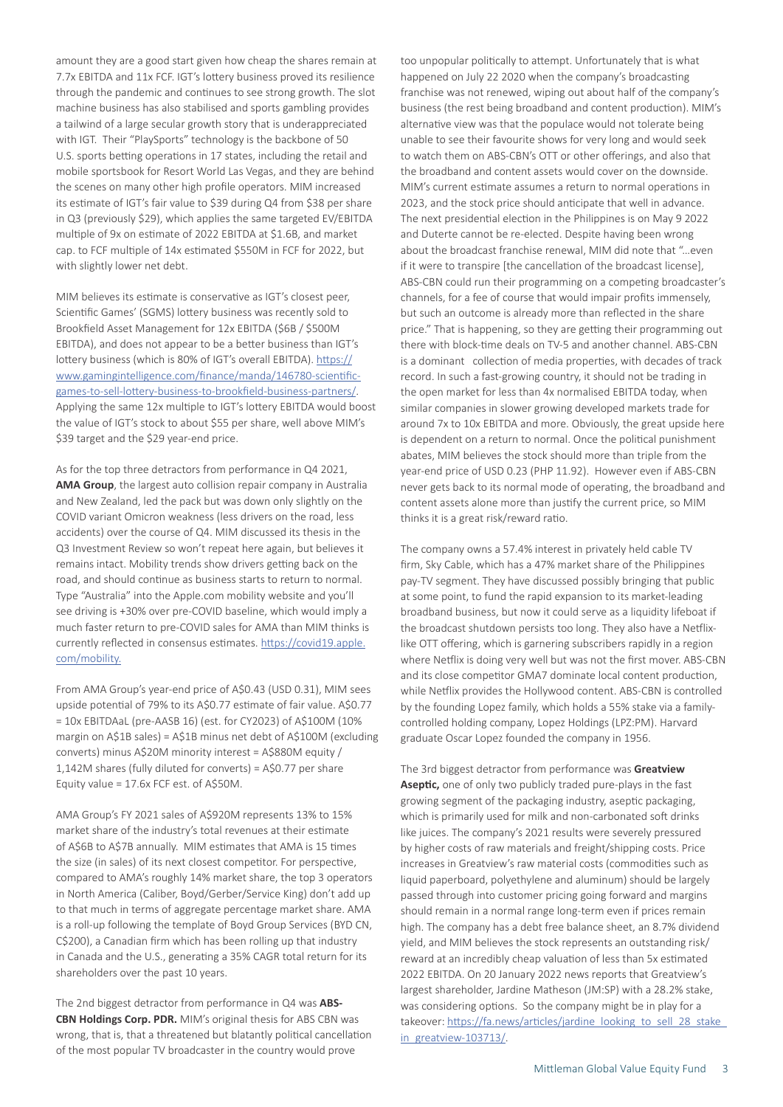amount they are a good start given how cheap the shares remain at 7.7x EBITDA and 11x FCF. IGT's lottery business proved its resilience through the pandemic and continues to see strong growth. The slot machine business has also stabilised and sports gambling provides a tailwind of a large secular growth story that is underappreciated with IGT. Their "PlaySports" technology is the backbone of 50 U.S. sports betting operations in 17 states, including the retail and mobile sportsbook for Resort World Las Vegas, and they are behind the scenes on many other high profile operators. MIM increased its estimate of IGT's fair value to \$39 during Q4 from \$38 per share in Q3 (previously \$29), which applies the same targeted EV/EBITDA multiple of 9x on estimate of 2022 EBITDA at \$1.6B, and market cap. to FCF multiple of 14x estimated \$550M in FCF for 2022, but with slightly lower net debt.

MIM believes its estimate is conservative as IGT's closest peer, Scientific Games' (SGMS) lottery business was recently sold to Brookfield Asset Management for 12x EBITDA (\$6B / \$500M EBITDA), and does not appear to be a better business than IGT's lottery business (which is 80% of IGT's overall EBITDA). [https://](https://www.gamingintelligence.com/finance/manda/146780-scientific-games-to-sell-lottery-business-to) [www.gamingintelligence.com/finance/manda/146780-scientific](https://www.gamingintelligence.com/finance/manda/146780-scientific-games-to-sell-lottery-business-to)[games-to-sell-lottery-business-to-brookfield-business-partners/.](https://www.gamingintelligence.com/finance/manda/146780-scientific-games-to-sell-lottery-business-to) Applying the same 12x multiple to IGT's lottery EBITDA would boost the value of IGT's stock to about \$55 per share, well above MIM's \$39 target and the \$29 year-end price.

As for the top three detractors from performance in Q4 2021, **AMA Group**, the largest auto collision repair company in Australia and New Zealand, led the pack but was down only slightly on the COVID variant Omicron weakness (less drivers on the road, less accidents) over the course of Q4. MIM discussed its thesis in the Q3 Investment Review so won't repeat here again, but believes it remains intact. Mobility trends show drivers getting back on the road, and should continue as business starts to return to normal. Type "Australia" into the Apple.com mobility website and you'll see driving is +30% over pre-COVID baseline, which would imply a much faster return to pre-COVID sales for AMA than MIM thinks is currently reflected in consensus estimates. [https://covid19.apple.](https://covid19.apple.com/mobility) [com/mobility](https://covid19.apple.com/mobility).

From AMA Group's year-end price of A\$0.43 (USD 0.31), MIM sees upside potential of 79% to its A\$0.77 estimate of fair value. A\$0.77 = 10x EBITDAaL (pre-AASB 16) (est. for CY2023) of A\$100M (10% margin on A\$1B sales) = A\$1B minus net debt of A\$100M (excluding converts) minus A\$20M minority interest = A\$880M equity / 1,142M shares (fully diluted for converts) = A\$0.77 per share Equity value = 17.6x FCF est. of A\$50M.

AMA Group's FY 2021 sales of A\$920M represents 13% to 15% market share of the industry's total revenues at their estimate of A\$6B to A\$7B annually. MIM estimates that AMA is 15 times the size (in sales) of its next closest competitor. For perspective, compared to AMA's roughly 14% market share, the top 3 operators in North America (Caliber, Boyd/Gerber/Service King) don't add up to that much in terms of aggregate percentage market share. AMA is a roll-up following the template of Boyd Group Services (BYD CN, C\$200), a Canadian firm which has been rolling up that industry in Canada and the U.S., generating a 35% CAGR total return for its shareholders over the past 10 years.

The 2nd biggest detractor from performance in Q4 was **ABS-CBN Holdings Corp. PDR.** MIM's original thesis for ABS CBN was wrong, that is, that a threatened but blatantly political cancellation of the most popular TV broadcaster in the country would prove

too unpopular politically to attempt. Unfortunately that is what happened on July 22 2020 when the company's broadcasting franchise was not renewed, wiping out about half of the company's business (the rest being broadband and content production). MIM's alternative view was that the populace would not tolerate being unable to see their favourite shows for very long and would seek to watch them on ABS-CBN's OTT or other offerings, and also that the broadband and content assets would cover on the downside. MIM's current estimate assumes a return to normal operations in 2023, and the stock price should anticipate that well in advance. The next presidential election in the Philippines is on May 9 2022 and Duterte cannot be re-elected. Despite having been wrong about the broadcast franchise renewal, MIM did note that "…even if it were to transpire [the cancellation of the broadcast license], ABS-CBN could run their programming on a competing broadcaster's channels, for a fee of course that would impair profits immensely, but such an outcome is already more than reflected in the share price." That is happening, so they are getting their programming out there with block-time deals on TV-5 and another channel. ABS-CBN is a dominant collection of media properties, with decades of track record. In such a fast-growing country, it should not be trading in the open market for less than 4x normalised EBITDA today, when similar companies in slower growing developed markets trade for around 7x to 10x EBITDA and more. Obviously, the great upside here is dependent on a return to normal. Once the political punishment abates, MIM believes the stock should more than triple from the year-end price of USD 0.23 (PHP 11.92). However even if ABS-CBN never gets back to its normal mode of operating, the broadband and content assets alone more than justify the current price, so MIM thinks it is a great risk/reward ratio.

The company owns a 57.4% interest in privately held cable TV firm, Sky Cable, which has a 47% market share of the Philippines pay-TV segment. They have discussed possibly bringing that public at some point, to fund the rapid expansion to its market-leading broadband business, but now it could serve as a liquidity lifeboat if the broadcast shutdown persists too long. They also have a Netflixlike OTT offering, which is garnering subscribers rapidly in a region where Netflix is doing very well but was not the first mover. ABS-CBN and its close competitor GMA7 dominate local content production, while Netflix provides the Hollywood content. ABS-CBN is controlled by the founding Lopez family, which holds a 55% stake via a familycontrolled holding company, Lopez Holdings (LPZ:PM). Harvard graduate Oscar Lopez founded the company in 1956.

The 3rd biggest detractor from performance was **Greatview Aseptic,** one of only two publicly traded pure-plays in the fast growing segment of the packaging industry, aseptic packaging, which is primarily used for milk and non-carbonated soft drinks like juices. The company's 2021 results were severely pressured by higher costs of raw materials and freight/shipping costs. Price increases in Greatview's raw material costs (commodities such as liquid paperboard, polyethylene and aluminum) should be largely passed through into customer pricing going forward and margins should remain in a normal range long-term even if prices remain high. The company has a debt free balance sheet, an 8.7% dividend yield, and MIM believes the stock represents an outstanding risk/ reward at an incredibly cheap valuation of less than 5x estimated 2022 EBITDA. On 20 January 2022 news reports that Greatview's largest shareholder, Jardine Matheson (JM:SP) with a 28.2% stake, was considering options. So the company might be in play for a takeover: https://fa.news/articles/jardine\_looking\_to\_sell\_28\_stake [in\\_greatview-103713/](https://fa.news/articles/jardine_looking_to_sell_28_stake_in_greatview-103713/).